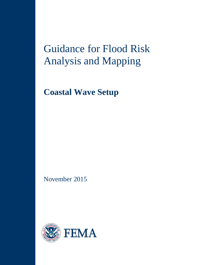# Guidance for Flood Risk Analysis and Mapping

**Coastal Wave Setup**

November 2015

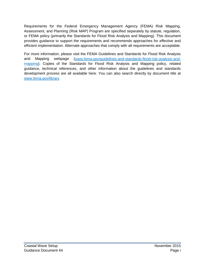Requirements for the Federal Emergency Management Agency (FEMA) Risk Mapping, Assessment, and Planning (Risk MAP) Program are specified separately by statute, regulation, or FEMA policy (primarily the Standards for Flood Risk Analysis and Mapping). This document provides guidance to support the requirements and recommends approaches for effective and efficient implementation. Alternate approaches that comply with all requirements are acceptable.

For more information, please visit the FEMA Guidelines and Standards for Flood Risk Analysis and Mapping webpage [\(www.fema.gov/guidelines-and-standards-flood-risk-analysis-and](http://www.fema.gov/guidelines-and-standards-flood-risk-analysis-and-mapping)[mapping\)](http://www.fema.gov/guidelines-and-standards-flood-risk-analysis-and-mapping). Copies of the Standards for Flood Risk Analysis and Mapping policy, related guidance, technical references, and other information about the guidelines and standards development process are all available here. You can also search directly by document title at [www.fema.gov/library.](http://www.fema.gov/library)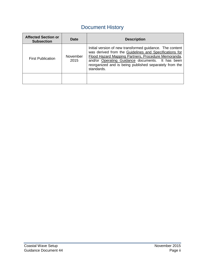# Document History

| <b>Affected Section or</b><br><b>Subsection</b> | Date             | <b>Description</b>                                                                                                                                                                                                                                                                                    |
|-------------------------------------------------|------------------|-------------------------------------------------------------------------------------------------------------------------------------------------------------------------------------------------------------------------------------------------------------------------------------------------------|
| <b>First Publication</b>                        | November<br>2015 | Initial version of new transformed guidance. The content<br>was derived from the Guidelines and Specifications for<br>Flood Hazard Mapping Partners, Procedure Memoranda,<br>and/or Operating Guidance documents. It has been<br>reorganized and is being published separately from the<br>standards. |
|                                                 |                  |                                                                                                                                                                                                                                                                                                       |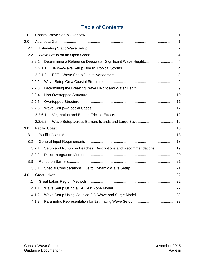# Table of Contents

| 1.0 |       |         |                                                                |  |
|-----|-------|---------|----------------------------------------------------------------|--|
| 2.0 |       |         |                                                                |  |
| 2.1 |       |         |                                                                |  |
|     | 2.2   |         |                                                                |  |
|     | 2.2.1 |         | Determining a Reference Deepwater Significant Wave Height 4    |  |
|     |       | 2.2.1.1 |                                                                |  |
|     |       | 2.2.1.2 |                                                                |  |
|     | 2.2.2 |         |                                                                |  |
|     | 2.2.3 |         |                                                                |  |
|     | 2.2.4 |         |                                                                |  |
|     | 2.2.5 |         |                                                                |  |
|     | 2.2.6 |         |                                                                |  |
|     |       | 2.2.6.1 |                                                                |  |
|     |       | 2.2.6.2 |                                                                |  |
| 3.0 |       |         |                                                                |  |
| 3.1 |       |         |                                                                |  |
|     | 3.2   |         |                                                                |  |
|     | 3.2.1 |         | Setup and Runup on Beaches: Descriptions and Recommendations19 |  |
|     | 3.2.2 |         |                                                                |  |
|     | 3.3   |         |                                                                |  |
|     | 3.3.1 |         |                                                                |  |
| 4.0 |       |         |                                                                |  |
| 4.1 |       |         |                                                                |  |
|     | 4.1.1 |         |                                                                |  |
|     | 4.1.2 |         |                                                                |  |
|     | 4.1.3 |         |                                                                |  |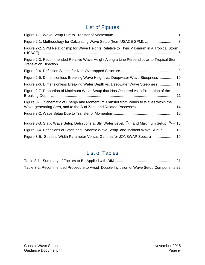# List of Figures

| Figure 2-1. Methodology for Calculating Wave Setup (from USACE SPM).  3                                                    |
|----------------------------------------------------------------------------------------------------------------------------|
| Figure 2-2. SPM Relationship for Wave Heights Relative to Their Maximum in a Tropical Storm                                |
| Figure 2-3. Recommended Relative Wave Height Along a Line Perpendicular to Tropical Storm                                  |
|                                                                                                                            |
| Figure 2-5. Dimensionless Breaking Wave Height vs. Deepwater Wave Steepness 10                                             |
| Figure 2-6. Dimensionless Breaking Water Depth vs. Deepwater Wave Steepness11                                              |
| Figure 2-7. Proportion of Maximum Wave Setup that Has Occurred vs. a Proportion of the                                     |
| Figure 3-1. Schematic of Energy and Momentum Transfer from Winds to Waves within the                                       |
|                                                                                                                            |
| Figure 3-3. Static Wave Setup Definitions at Still Water Level, $\eta_{\circ}$ , and Maximum Setup, $\eta_{\text{max}}$ 15 |
| Figure 3-4. Definitions of Static and Dynamic Wave Setup and Incident Wave Runup16                                         |
| Figure 3-5. Spectral Width Parameter Versus Gamma for JONSWAP Spectra19                                                    |

# List of Tables

|  | Table 3-2. Recommended Procedure to Avoid Double Inclusion of Wave Setup Components.22 |  |
|--|----------------------------------------------------------------------------------------|--|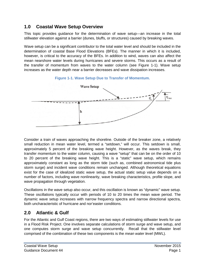# **1.0 Coastal Wave Setup Overview**

This topic provides guidance for the determination of wave setup—an increase in the total stillwater elevation against a barrier (dunes, bluffs, or structures) caused by breaking waves.

Wave setup can be a significant contributor to the total water level and should be included in the determination of coastal Base Flood Elevations (BFEs). The manner in which it is included, however, is critical to the accuracy of the BFEs. In addition to wind, waves can also affect the mean nearshore water levels during hurricanes and severe storms. This occurs as a result of the transfer of momentum from waves to the water column (see Figure 1-1). Wave setup increases as the water depth near a barrier decreases and wave dissipation increases.





Consider a train of waves approaching the shoreline. Outside of the breaker zone, a relatively small reduction in mean water level, termed a "setdown," will occur. This setdown is small, approximately 5 percent of the breaking wave height. However, as the waves break, they transfer momentum to the water column, causing a wave "setup" that can be on the order of 10 to 20 percent of the breaking wave height. This is a "static" wave setup, which remains approximately constant as long as the storm tide (such as, combined astronomical tide plus storm surge) and incident wave conditions remain unchanged. Although theoretical equations exist for the case of idealized static wave setup, the actual static setup value depends on a number of factors, including wave nonlinearity, wave breaking characteristics, profile slope, and wave propagation through vegetation.

Oscillations in the wave setup also occur, and this oscillation is known as "dynamic" wave setup. These oscillations typically occur with periods of 10 to 20 times the mean wave period. The dynamic wave setup increases with narrow frequency spectra and narrow directional spectra, both uncharacteristic of hurricane and nor'easter conditions.

# **2.0 Atlantic & Gulf**

For the Atlantic and Gulf Coast regions, there are two ways of estimating stillwater levels for use in a Flood Risk Project. One involves separate calculations of storm surge and wave setup, and one computes storm surge and wave setup concurrently. Recall that the stillwater level comprised of the combination of these two components is the *mean water level* (MWL).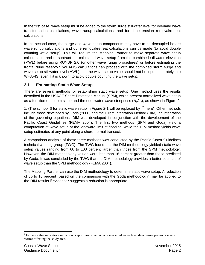In the first case, wave setup must be added to the storm surge stillwater level for overland wave transformation calculations, wave runup calculations, and for dune erosion removal/retreat calculations.

In the second case, the surge and wave setup components may have to be decoupled before wave runup calculations and dune removal/retreat calculations can be made (to avoid double counting wave setup). This will require the Mapping Partner to make separate wave setup calculations, and to subtract the calculated wave setup from the combined stillwater elevation (MWL) before using RUNUP 2.0 (or other wave runup procedures) or before estimating the frontal dune reservoir. WHAFIS calculations can proceed with the combined storm surge and wave setup stillwater level (MWL), but the wave setup value should not be input separately into WHAFIS, even if it is known, to avoid double counting the wave setup.

# **2.1 Estimating Static Wave Setup**

There are several methods for establishing static wave setup. One method uses the results described in the USACE Shore Protection Manual (SPM), which present normalized wave setup as a function of bottom slope and the deepwater wave steepness (*Ho/Lo*), as shown in Figure 2-

1. (The symbol S for static wave setup in Figure 2-1 will be replaced by  $\eta$  here). Other methods include those developed by Goda (2000) and the Direct Integration Method (DIM), an integration of the governing equations. DIM was developed in conjunction with the development of the Pacific Coast Guidelines (FEMA 2004). The first two methods (SPM and Goda) yield a computation of wave setup at the landward limit of flooding, while the DIM method yields wave setup estimates at any point along a shore-normal transect.

A comparison analysis of these three methods was conducted by the Pacific Coast Guidelines technical working group (TWG). The TWG found that the DIM methodology yielded static wave setup values ranging from 60 to 100 percent larger than those from the SPM methodology. However, the DIM methodology values were less than 16 percent greater than those predicted by Goda. It was concluded by the TWG that the DIM methodology provides a better estimate of wave setup than the SPM methodology (FEMA 2004).

The Mapping Partner can use the DIM methodology to determine static wave setup. A reduction of up to 16 percent (based on the comparison with the Goda methodology) may be applied to the DIM results if evidence<sup>[1](#page-6-0)</sup> suggests a reduction is appropriate.

<span id="page-6-0"></span><sup>&</sup>lt;sup>1</sup> Evidence that indicates a reduction is appropriate can include measured water level data during previous severe storms affecting the study area.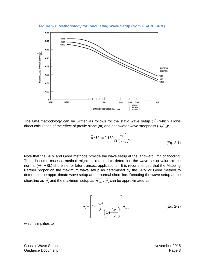**Figure 2-1. Methodology for Calculating Wave Setup (from USACE SPM).**



The DIM methodology can be written as follows for the static wave setup  $($ <sup> $\eta$ </sup>) which allows direct calculation of the effect of profile slope (*m*) and deepwater wave steepness (*Ho/Lo*):

$$
\overline{\eta}/H_{o} = 0.160 \frac{m^{0.2}}{(H_{o}/L_{o})^{0.2}}
$$
 (Eq. 2-1)

Note that the SPM and Goda methods provide the wave setup at the landward limit of flooding. Thus, in some cases a method might be required to determine the wave setup value at the normal (+/- MSL) shoreline for later transect applications. It is recommended that the Mapping Partner proportion the maximum wave setup as determined by the SPM or Goda method to determine the approximate wave setup at the normal shoreline. Denoting the wave setup at the shoreline as  $\overline{\eta_{o}}$  and the maximum setup as  $\overline{\eta_{max}}$ ,  $\overline{\eta_{o}}$  can be approximated as

$$
\overline{\eta_o} = \left[ 1 - \frac{3\kappa^2}{8} \frac{1}{\left( 1 + \frac{3\kappa^2}{8} \right)} \right] \overline{\eta_{\text{max}}}
$$
 (Eq. 2-2)

which simplifies to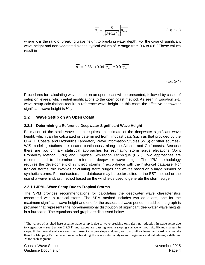$$
\overline{\eta_0} = \left[ \frac{8}{\left(8 + 3\kappa^2\right)} \right] \overline{\eta_{\text{max}}}
$$
 (Eq. 2-3)

where  $\kappa$  is the ratio of breaking wave height to breaking water depth. For the case of significant wave height and non-vegetated slopes, typical values of  $\kappa$  range from 0.4 to 0.6.<sup>[2](#page-8-0)</sup> These values result in

$$
\overline{\eta_{o}} = 0.88 \text{ to } 0.94 \ \overline{\eta_{\text{max}}} \approx 0.9 \ \overline{\eta_{\text{max}}}
$$

(Eq. 2-4)

Procedures for calculating wave setup on an open coast will be presented, followed by cases of setup on levees, which entail modifications to the open coast method. As seen in Equation 2-1, wave setup calculations require a reference wave height. In this case, the effective deepwater significant wave height is *H´o*.

#### **2.2 Wave Setup on an Open Coast**

#### **2.2.1 Determining a Reference Deepwater Significant Wave Height**

Estimation of the static wave setup requires an estimate of the deepwater significant wave height, which can be calculated or determined from hindcast data (such as that provided by the USACE Coastal and Hydraulics Laboratory Wave Information Studies (WIS) or other sources). WIS modeling stations are located continuously along the Atlantic and Gulf coasts. Because there are two primary statistical approaches for estimating storm surge elevations (Joint Probability Method (JPM) and Empirical Simulation Technique (EST)), two approaches are recommended to determine a reference deepwater wave height. The JPM methodology requires the development of synthetic storms in accordance with the historical database. For tropical storms, this involves calculating storm surges and waves based on a large number of synthetic storms. For nor'easters, the database may be better suited to the EST method or the use of a wave hindcast method based on the windfields used to generate the storm surge.

#### **2.2.1.1 JPM—Wave Setup Due to Tropical Storms**

The SPM provides recommendations for calculating the deepwater wave characteristics associated with a tropical storm. The SPM method includes two equations, one for the maximum significant wave height and one for the associated wave period. In addition, a graph is provided that represents the non-dimensional distribution of significant deepwater wave heights in a hurricane. The equations and graph are discussed below.

<span id="page-8-0"></span><sup>&</sup>lt;sup>2</sup> The values of K cited here assume wave setup is due to wave breaking only (i.e., no reduction in wave setup due to vegetation – see Section 2.2.3.1) and waves are passing over a sloping surface without significant changes in slope. If the ground surface along the transect changes slope suddenly (e.g., a bluff or levee landward of a marsh) then the Mapping Partner may consider breaking the wave setup analysis into segments and calculating a different  $\kappa$  for each segment.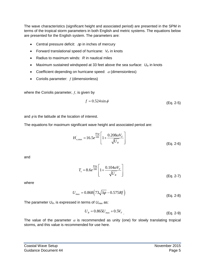The wave characteristics (significant height and associated period) are presented in the SPM in terms of the tropical storm parameters in both English and metric systems. The equations below are presented for the English system. The parameters are:

- Central pressure deficit: ∆*p* in inches of mercury
- Forward translational speed of hurricane:  $V_F$  in knots
- Radius to maximum winds: *R* in nautical miles
- Maximum sustained windspeed at 33 feet above the sea surface:  $U_R$  in knots
- Coefficient depending on hurricane speed:  $\alpha$  (dimensionless)
- Coriolis parameter:  $f$  (dimensionless)

where the Coriolis parameter,  $f$ , is given by

$$
f = 0.524 \sin \phi \tag{Eq. 2-5}
$$

and  $\phi$  is the latitude at the location of interest.

The equations for maximum significant wave height and associated period are:

$$
H_{o,\text{max}}^{'} = 16.5e^{\frac{R\Delta p}{100}} \left[ 1 + \frac{0.208\alpha V_F}{\sqrt{U_R}} \right]
$$
 (Eq. 2-6)

and

$$
T_s = 8.6e^{\frac{R\Delta p}{200}} \left[ 1 + \frac{0.104\alpha V_F}{\sqrt{U_R}} \right]
$$
 (Eq. 2-7)

where

$$
U_{\text{max}} = 0.868 \left( 73\sqrt{\Delta p} - 0.575 Rf \right)
$$
 (Eq. 2-8)

The parameter  $U_{R}$ , is expressed in terms of  $U_{max}$  as:

$$
U_R = 0.865U_{\text{max}} + 0.5V_F
$$
\n(Eq. 2-9)

The value of the parameter  $\alpha$  is recommended as unity (one) for slowly translating tropical storms, and this value is recommended for use here.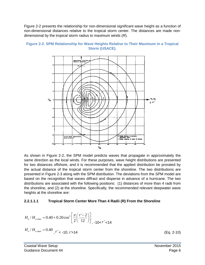Figure 2-2 presents the relationship for non-dimensional significant wave height as a function of non-dimensional distances relative to the tropical storm center. The distances are made nondimensional by the tropical storm radius to maximum winds (*R*).





As shown in Figure 2-2, the SPM model predicts waves that propagate in approximately the same direction as the local winds. For these purposes, wave height distributions are presented for two distances offshore, and it is recommended that the applied distribution be prorated by the actual distance of the tropical storm center from the shoreline. The two distributions are presented in Figure 2-3 along with the SPM distribution. The deviations from the SPM model are based on the recognition that waves diffract and disperse in advance of a hurricane. The two distributions are associated with the following positions: (1) distances of more than 4 radii from the shoreline, and (2) at the shoreline. Specifically, the recommended relevant deepwater wave heights at the shoreline are:

#### **2.2.1.1.1 Tropical Storm Center More Than 4 Radii (R) From the Shoreline**

$$
H_o/H_{o,\text{max}} = 0.40 + 0.20 \cos^2 \left[ \frac{\pi}{2} \left( \frac{r'-2}{12} \right) \right]_{, -10 < r' < 14}
$$
  

$$
H_o/H_{o,\text{max}} = 0.40 \, r' < -10, r' > 14
$$

 $(Eq. 2-10)$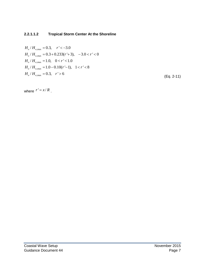#### **2.2.1.1.2 Tropical Storm Center At the Shoreline**

 $H_o/H_{o,\text{max}} = 0.3, \quad r' < -3.0$  $H_o/H_{o,\text{max}} = 0.3 + 0.233(r+3), -3.0 < r' < 0$  $H_o / H_{o, \text{max}} = 1.0, \quad 0 < r' < 1.0$  $H_o/H_{o,\text{max}} = 1.0 - 0.10(r'-1), \quad 1 < r' < 8$  $H_o/H_{o,\text{max}} = 0.3, r' > 6$ 

(Eq. 2-11)

where  $r' = x/R$ .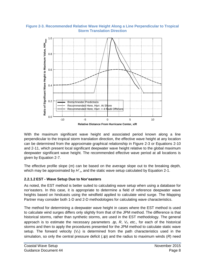#### **Figure 2-3. Recommended Relative Wave Height Along a Line Perpendicular to Tropical Storm Translation Direction**



With the maximum significant wave height and associated period known along a line perpendicular to the tropical storm translation direction, the effective wave height at any location can be determined from the approximate graphical relationship in Figure 2-3 or Equations 2-10 and 2-11, which present local significant deepwater wave height relative to the global maximum deepwater significant wave height. The recommended effective wave period at all locations is given by Equation 2-7.

The effective profile slope (*m*) can be based on the average slope out to the breaking depth, which may be approximated by  $H_0$ , and the static wave setup calculated by Equation 2-1.

#### **2.2.1.2 EST - Wave Setup Due to Nor'easters**

As noted, the EST method is better suited to calculating wave setup when using a database for nor'easters. In this case, it is appropriate to determine a field of reference deepwater wave heights based on hindcasts using the windfield applied to calculate wind surge. The Mapping Partner may consider both 1-D and 2-D methodologies for calculating wave characteristics.

The method for determining a deepwater wave height in cases where the EST method is used to calculate wind surges differs only slightly from that of the JPM method. The difference is that historical storms, rather than synthetic storms, are used in the EST methodology. The general approach is to estimate the necessary parameters ∆*p*, *R*, *VF, etc.,* for each of the historical storms and then to apply the procedures presented for the JPM method to calculate static wave setup. The forward velocity  $(V_F)$  is determined from the path characteristics used in the simulation, so only the central pressure deficit (∆*p*) and the radius to maximum winds (*R*) need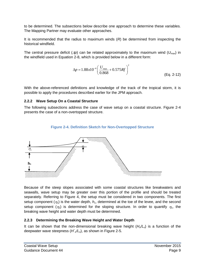to be determined. The subsections below describe one approach to determine these variables. The Mapping Partner may evaluate other approaches.

It is recommended that the radius to maximum winds (*R*) be determined from inspecting the historical windfield.

The central pressure deficit (∆*p*) can be related approximately to the maximum wind (*Umax*) in the windfield used in Equation 2-8, which is provided below in a different form:

$$
\Delta p = 1.88 \times 10^{-4} \left( \frac{U_{\text{max}}}{0.868} + 0.575 Rf \right)^2
$$
 (Eq. 2-12)

With the above-referenced definitions and knowledge of the track of the tropical storm, it is possible to apply the procedures described earlier for the JPM approach.

#### **2.2.2 Wave Setup On a Coastal Structure**

The following subsections address the case of wave setup on a coastal structure. Figure 2-4 presents the case of a non-overtopped structure.

## **Figure 2-4. Definition Sketch for Non-Overtopped Structure**



Because of the steep slopes associated with some coastal structures like breakwaters and seawalls, wave setup may be greater over this portion of the profile and should be treated separately. Referring to Figure 4, the setup must be considered in two components. The first setup component  $(\eta_1)$  is the water depth,  $h_1$ , determined at the toe of the levee, and the second setup component  $(\eta_2)$  is determined for the sloping structure. In order to quantify  $\eta_1$ , the breaking wave height and water depth must be determined.

## **2.2.3 Determining the Breaking Wave Height and Water Depth**

It can be shown that the non-dimensional breaking wave height (*Ho/Lo*) is a function of the deepwater wave steepness (*H´o/Lo*), as shown in Figure 2-5.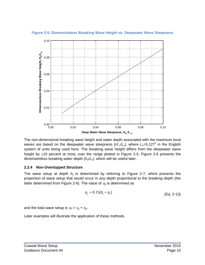

**Figure 2-5. Dimensionless Breaking Wave Height vs. Deepwater Wave Steepness**

The non-dimensional breaking wave height and water depth associated with the maximum local waves are based on the deepwater wave steepness  $(H'_c/L_o)$ , where  $L_o=5.127^2$  in the English system of units being used here. The breaking wave height differs from the deepwater wave height by  $\pm 10$  percent at most, over the range plotted in Figure 2-5. Figure 2-6 presents the dimensionless breaking water depth (*ho*/*Lo*), which will be useful later.

#### **2.2.4 Non-Overtopped Structure**

The wave setup at depth  $h_1$  is determined by referring to Figure 2-7, which presents the proportion of wave setup that would occur in any depth proportional to the breaking depth (the latter determined from Figure 2-6). The value of  $\eta_2$  is determined as

$$
\eta_2 = 0.15(h_1 + \eta_1) \tag{Eq. 2-13}
$$

and the total wave setup is  $\eta_T = \eta_1 + \eta_2$ .

Later examples will illustrate the application of these methods.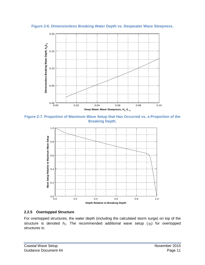**Figure 2-6. Dimensionless Breaking Water Depth vs. Deepwater Wave Steepness.**



**Figure 2-7. Proportion of Maximum Wave Setup that Has Occurred vs. a Proportion of the Breaking Depth.**



#### **2.2.5 Overtopped Structure**

For overtopped structures, the water depth (including the calculated storm surge) on top of the structure is denoted  $h_2$ . The recommended additional wave setup  $(\eta_2)$  for overtopped structures is: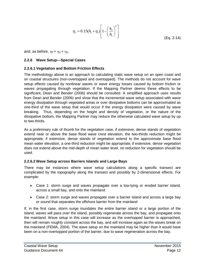$$
\eta_2 = 0.15(h_1 + \eta_1) \left[ 1 - \left(\frac{h_2}{h_1}\right)^2 \right]
$$
\n(Eq. 2-14)

and, as before,  $\eta_T = \eta_1 + \eta_2$ .

#### **2.2.6 Wave Setup—Special Cases**

#### **2.2.6.1 Vegetation and Bottom Friction Effects**

The methodology above is an approach to calculating static wave setup on an open coast and on coastal structures (non-overtopped and overtopped). The methods do not account for wave setup effects caused by nonlinear waves or wave energy losses caused by bottom friction or waves propagating through vegetation. If the Mapping Partner deems these effects to be significant, Dean and Bender (2006) should be consulted. A simplified approach uses results from Dean and Bender (2006) and show that the incremental wave setup associated with wave energy dissipation through vegetated areas or over dissipative bottoms can be approximated as one-third of the wave setup that would occur if the energy dissipation were caused by wave breaking. Thus, depending on the height and density of vegetation, or the nature of the dissipative bottom, the Mapping Partner may reduce the otherwise calculated wave setup by up to two-thirds.

As a preliminary rule of thumb for the vegetation case, if extensive, dense stands of vegetation extend near or above the base flood wave crest elevation, the two-thirds reduction might be appropriate; if extensive, dense stands of vegetation extend to the approximate base flood mean water elevation, a one-third reduction might be appropriate; if extensive, dense vegetation does not extend above the mid-depth of mean water level, no reduction for vegetation should be used.

#### **2.2.6.2 Wave Setup across Barriers Islands and Large Bays**

There may be instances where wave setup calculations along a specific transect are complicated by the topography along the transect and possibly by 2-dimensional effects. For example:

- Case 1: storm surge and waves propagate over a low-lying or eroded barrier island, across a small bay, and onto the mainland
- Case 2: storm surge and waves propagate over a barrier island and across a large bay or sound that separates the offshore barrier from the mainland

If, in the first case, storm surge inundates the entire barrier island or a large portion of the island, waves will pass over the island, possibly regenerate across the bay, and propagate onto the mainland. Wave setup in this case will increase as the overtopped barrier is approached, then will remain roughly constant across the bay, and will increase again as the waves break on the mainland (FEMA, 2004). The wave setup on the mainland may be higher than it would have been on a non-overtopped portion of the barrier, due to wave regeneration across the bay.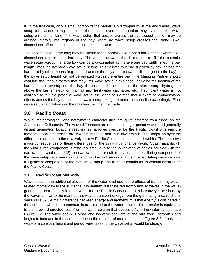If, in the first case, only a small portion of the barrier is overtopped by surge and waves, wave setup calculations along a transect through the overtopped section may overstate the wave setup on the mainland. The wave setup that passes across the overtopped section may be drained laterally into regions of the bay where no wave setup crosses the island. Twodimensional effects should be considered in this case.

The second case (large bay) may be similar to the partially overtopped barrier case, where twodimensional effects come into play. The volume of water that is required to "fill" the potential wave setup across the large bay can be approximated as the average bay width times the bay length times the average wave setup height. This volume must be supplied by flow across the barrier or by other means (e.g., rainfall across the bay and freshwater discharge into the bay) or the wave setup height will not be realized across the entire bay. The Mapping Partner should evaluate the various factors that may limit wave setup in this case, including the fraction of the barrier that is overtopped, the bay dimensions, the duration of the storm surge hydrograph above the barrier elevation, rainfall and freshwater discharge, etc. If sufficient water is not available to "fill" the potential wave setup, the Mapping Partner should examine 2-dimensional effects across the bay and estimate wave setup along the mainland shoreline accordingly. Final wave setup calculations on the mainland will then be made.

# **3.0 Pacific Coast**

Wave, meteorological, and bathymetric characteristics are quite different from those on the Atlantic and Gulf coasts. The wave differences are due to the longer period waves and generally distant generation locations resulting in narrower spectra for the Pacific Coast whereas the meteorological differences are fewer hurricanes and thus lower winds. The major bathymetric differences are due to the relatively narrow Pacific Coast continental shelf widths. There are two major consequences of these differences for the 1% annual chance Pacific Coast hazards: (1) the wind surge component is relatively small due to the lower wind velocities coupled with the narrow shelf widths, and (2) the narrow spectra result in a substantial oscillating component of the wave setup with periods of tens to hundreds of seconds. Thus, the oscillating wave setup is a significant component of the total wave runup and a major contributor to coastal hazards on the Pacific Coast.

# **3.1 Pacific Coast Methods**

Wave setup is the additional elevation of the water level due to the effects of transferring waverelated momentum to the surf zone. Momentum is transferred from winds to waves in the wavegenerating area (usually in deep water for the Pacific Coast) and then is conveyed to shore by the waves similar to the manner that waves transport energy from the generating area to shore; see Figure 3-1. A main difference between energy and momentum is that energy is dissipated in the surf zone whereas momentum is transferred to the water column. This transfer is equivalent to a shoreward-directed "push" on the water column that causes a *tilt* of the water surface; see Figure 3-2. The wave setup is small and negative seaward of the surf zone (*setdown*) and begins to increase in the surf zone due to the transfer of momentum; see Figure 3-3. If only one wave of a constant height and period were present, the wave setup would be steady.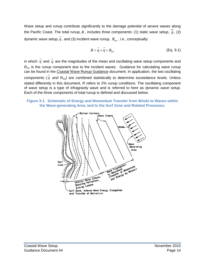Wave setup and runup contribute significantly to the damage potential of severe waves along the Pacific Coast. The total runup, R, includes three components: (1) static wave setup,  $\overline{\eta}$ , (2) dynamic wave setup,  $\hat{\eta}$  , and (3) incident wave runup,  $\,R_{_{inc}}$  , i.e., conceptually:

$$
R = \overline{\eta} + \hat{\eta} + R_{inc}
$$
 (Eq. 3-1)

in which  $\overset{-}{\eta}$  and  $\overset{\frown}{\eta}$  are the magnitudes of the mean and oscillating wave setup components and *R<sub>inc</sub>* is the runup component due to the incident waves. Guidance for calculating wave runup can be found in the Coastal Wave Runup Guidance document. In application, the two oscillating components  $(\hat{\eta}$  and  $R_{inc}$ ) are combined statistically to determine exceedance levels. Unless stated differently in this document, *R* refers to 2% runup conditions. The oscillating component of wave setup is a type of infragravity wave and is referred to here as *dynamic wave setup*. Each of the three components of total runup is defined and discussed below.



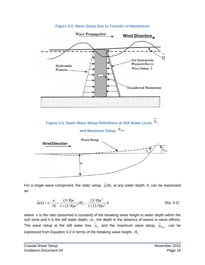

#### **Figure 3-2. Wave Setup Due to Transfer of Momentum**

For a single wave component, the static setup,  $\overline{\eta}$  (h), at any water depth, h, can be expressed as:

$$
\overline{\eta}(h) = \left(-\frac{\kappa}{16} + \frac{(3/8)\kappa}{1 + (3/8)\kappa^2}\right)H_b - \frac{(3/8)\kappa^2}{1 + (3/8)\kappa^2}h\tag{Eq. 3-2}
$$

where  $\kappa$  is the ratio (assumed a constant) of the breaking wave height to water depth within the surf zone and h is the still water depth, i.e., the depth in the absence of waves or wave effects. The wave setup at the still water line,  $\overline{\eta}_o$ , and the maximum wave setup,  $\overline{\eta}_{max}$ , can be expressed from Equation 3-2 in terms of the breaking wave height,  $H_b$ :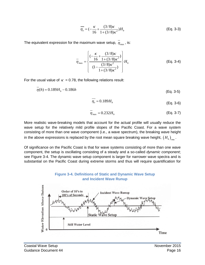$$
\overline{\eta_o} = \left(-\frac{\kappa}{16} + \frac{(3/8)\kappa}{1 + (3/8)\kappa^2}\right)H_b
$$
 (Eq. 3-3)

The equivalent expression for the maximum wave setup,  $\overline{\eta}_{\text{max}}$ , is:

$$
\overline{\eta}_{\text{max}} = \left\{ \frac{(-\frac{\kappa}{16} + \frac{(3/8)\kappa}{1 + (3/8)\kappa^2})}{(1 - \frac{(3/8)\kappa^2}{1 + (3/8)\kappa^2})} \right\} H_b
$$
 (Eq. 3-4)

For the usual value of  $\kappa = 0.78$ , the following relations result:

$$
\overline{\eta}(h) = 0.189H_b - 0.186h\tag{Eq. 3-5}
$$

$$
\overline{\eta_o} = 0.189 H_b \tag{Eq. 3-6}
$$

$$
\overline{\eta}_{\text{max}} = 0.232H_b \tag{Eq. 3-7}
$$

More realistic wave-breaking models that account for the actual profile will usually reduce the wave setup for the relatively mild profile slopes of the Pacific Coast. For a wave system consisting of more than one wave component (i.e., a wave spectrum), the breaking wave height in the above expressions is replaced by the root mean square breaking wave height,  $(H_b)_{\text{max}}$ .

Of significance on the Pacific Coast is that for wave systems consisting of more than one wave component, the setup is oscillating consisting of a steady and a so-called *dynamic component*; see Figure 3-4. The dynamic wave setup component is larger for narrower wave spectra and is substantial on the Pacific Coast during extreme storms and thus will require quantification for



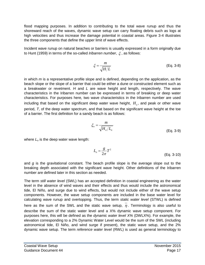flood mapping purposes. In addition to contributing to the total wave runup and thus the shoreward reach of the waves, dynamic wave setup can carry floating debris such as logs at high velocities and thus increase the damage potential in coastal areas. Figure 3-4 illustrates the three components that define the upper limit of wave effects.

Incident wave runup on natural beaches or barriers is usually expressed in a form originally due to Hunt (1959) in terms of the so-called *Iribarren number*, ξ , as follows:

$$
\xi = \frac{m}{\sqrt{H/L}}\tag{Eq. 3-8}
$$

in which *m* is a representative profile slope and is defined, depending on the application, as the beach slope or the slope of a barrier that could be either a dune or constructed element such as a breakwater or revetment. *H* and *L* are wave height and length, respectively. The wave characteristics in the Iribarren number can be expressed in terms of breaking or deep water characteristics. For purposes here, two wave characteristics in the Iribarren number are used including that based on the significant deep water wave height,  $H<sub>a</sub>$ , and peak or other wave period, *T*, of the deep water spectrum, and that based on the significant wave height at the toe of a barrier. The first definition for a sandy beach is as follows:

$$
\xi_o = \frac{m}{\sqrt{H_o/L_o}}
$$
 (Eq. 3-9)

where  $L_0$  is the deep water wave length:

$$
L_o = \frac{g}{2\pi}T^2
$$
 (Eq. 3-10)

and *g* is the gravitational constant. The beach profile slope is the average slope out to the breaking depth associated with the significant wave height. Other definitions of the Iribarren number are defined later in this section as needed.

The term *still water level* (SWL) has an accepted definition in coastal engineering as the water level in the absence of wind waves and their effects and thus would include the astronomical tide, El Niño, and surge due to wind effects, but would not include either of the wave setup components. However, the wave setup components are included in the base water level for calculating wave runup and overtopping. Thus, the term *static water level* (STWL) is defined here as the sum of the SWL and the static wave setup,  $\eta$ . Terminology is also useful to describe the sum of the static water level and a X% dynamic wave setup component. For purposes here, this will be defined as the *dynamic water level X%* (DWLX%). For example, the elevation corresponding to a 2% Dynamic Water Level would be the sum of the SWL (including astronomical tide, El Niño, and wind surge if present), the static wave setup, and the 2% dynamic wave setup. The term *reference water level* (RWL) is used as general terminology to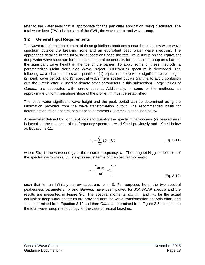refer to the water level that is appropriate for the particular application being discussed. The total water level (TWL) is the sum of the SWL, the wave setup, and wave runup.

# **3.2 General Input Requirements**

The wave transformation element of these guidelines produces a nearshore shallow water wave spectrum outside the breaking zone and an equivalent deep water wave spectrum. The approaches detailed in the following subsections base the total wave runup on the equivalent deep water wave spectrum for the case of natural beaches or, for the case of runup on a barrier, the significant wave height at the toe of the barrier. To apply some of these methods, a parameterized (Joint North Sea Wave Project [JONSWAP]) spectrum is developed. The following wave characteristics are quantified: (1) equivalent deep water significant wave height, (2) peak wave period, and (3) spectral width (here spelled out as *Gamma* to avoid confusion with the Greek letter  $\gamma$  used to denote other parameters in this subsection). Large values of *Gamma* are associated with narrow spectra. Additionally, in some of the methods, an approximate uniform nearshore slope of the profile, m, must be established.

The deep water significant wave height and the peak period can be determined using the information provided from the wave transformation output. The recommended basis for determination of the spectral peakedness parameter (*Gamma*) is described below.

A parameter defined by Longuet-Higgins to quantify the spectrum narrowness (or peakedness) is based on the moments of the frequency spectrum,  $m<sub>i</sub>$ , defined previously and refined below as Equation 3-11:

$$
m_{i} = \sum_{n=1}^{N} f_{n}^{i} S(f_{n})
$$
 (Eq. 3-11)

where  $S(f_n)$  is the wave energy at the discrete frequency,  $f_n$ . The Longuet-Higgins definition of the spectral narrowness,  $v$ , is expressed in terms of the spectral moments:

$$
U = \left[\frac{m_o m_2}{m_1^2} - 1\right]^{1/2} \tag{Eq. 3-12}
$$

such that for an infinitely narrow spectrum,  $v = 0$ . For purposes here, the two spectral peakedness parameters, <sup>υ</sup> and *Gamma*, have been plotted for JONSWAP spectra and the results are presented in Figure 3-5. The spectral moments,  $m_0$ ,  $m_1$ , and  $m_2$ , for the actual equivalent deep water spectrum are provided from the wave transformation analysis effort, and  $\nu$  is determined from Equation 3-12 and then *Gamma* determined from Figure 3-5 as input into the total wave runup methodology for the case of natural beaches.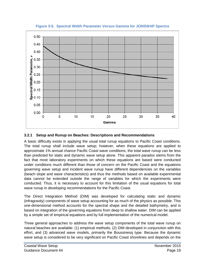

**Figure 3-5. Spectral Width Parameter Versus Gamma for JONSWAP Spectra**

# **3.2.1 Setup and Runup on Beaches: Descriptions and Recommendations**

A basic difficulty exists in applying the usual total runup equations to Pacific Coast conditions. The total runup shall include wave setup; however, when these equations are applied to approximate 1% annual chance Pacific Coast wave conditions, the total wave runup can be less than predicted for static and dynamic wave setup alone. This apparent paradox stems from the fact that most laboratory experiments on which these equations are based were conducted under conditions much different than those of concern on the Pacific Coast and the equations governing wave setup and incident wave runup have different dependencies on the variables (beach slope and wave characteristics) and thus the methods based on available experimental data cannot be extended outside the range of variables for which the experiments were conducted. Thus, it is necessary to account for this limitation of the usual equations for total wave runup in developing recommendations for the Pacific Coast.

The Direct Integration Method (DIM) was developed for calculating static and dynamic (infragravity) components of wave setup accounting for as much of the physics as possible. This one-dimensional method accounts for the spectral shape and the detailed bathymetry, and is based on integration of the governing equations from deep to shallow water. DIM can be applied by a simple set of empirical equations and by full implementation of the numerical model.

Three general approaches to address the wave setup components of the total wave runup on natural beaches are available: (1) empirical methods, (2) DIM developed in conjunction with this effort, and (3) advanced wave models, primarily the Boussinesq type. Because the dynamic wave setup is considered to be very significant on Pacific Coast shorelines and depends on the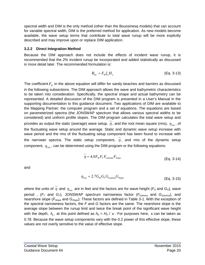spectral width and DIM is the only method (other than the Boussinesq models) that can account for variable spectral width, DIM is the preferred method for application. As new models become available, the wave setup terms that contribute to total wave runup will be more explicitly described and may improve upon or replace DIM application.

#### **3.2.2 Direct Integration Method**

Because the DIM approach does not include the effects of incident wave runup, it is recommended that the 2% incident runup be incorporated and added statistically as discussed in more detail later. The recommended formulation is:

$$
R_{inc} = F_R \xi_o H_o \tag{Eq. 3-13}
$$

The coefficient  $F_R$  in the above equation will differ for sandy beaches and barriers as discussed in the following subsections. The DIM approach allows the wave and bathymetric characteristics to be taken into consideration. Specifically, the spectral shape and actual bathymetry can be represented. A detailed discussion of the DIM program is presented in a User's Manual in the supporting documentation to this guidance document. Two applications of DIM are available to the Mapping Partner: the computer program and a set of equations. The equations are based on parameterized spectra (the JONSWAP spectrum that allows various spectral widths to be considered) and uniform profile slopes. The DIM program calculates the total wave setup and provides as output the static (average) wave setup,  $\overline{\eta}$ , and the root mean square (rms),  $\eta_{\text{rms}}$ , of the fluctuating wave setup around the average. Static and dynamic wave setup increase with wave period and the rms of the fluctuating setup component has been found to increase with the narrower spectra. The static setup component,  $\eta$ , and rms of the dynamic setup component, η*rms* , can be determined using the DIM program or the following equations:

$$
\overline{\eta} = 4.0 F_H F_T F_{Gamma} F_{Slope}
$$
\n(Eq. 3-14)

and

$$
\eta_{\rm rms} = 2.7 G_{\rm H} G_{\rm T} G_{\rm Gamma} G_{\rm Slope}
$$
\n(Eq. 3-15)

where the units of  $\overline{\eta}$  and  $\eta_{\rm rms}$  are in feet and the factors are for wave height ( $F_H$  and  $G_H$ ), wave period,  $(F_T \text{ and } G_T)$ , JONSWAP spectrum narrowness factor  $(F_{Gamma} \text{ and } G_{Gamma})$ , and nearshore slope (*FSlope* and *GSlope*). These factors are defined in Table 3-1. With the exception of the spectral narrowness factors, the *F* and *G* factors are the same. The nearshore slope is the average slope between the runup limit and twice the break point of the significant wave height with the depth,  $h_h$ , at this point defined as  $h_b = H_b / \kappa$ . For purposes here,  $\kappa$  can be taken as 0.78. Because the wave setup components vary with the 0.2 power of this effective slope, these values are not overly sensitive to the value of effective slope.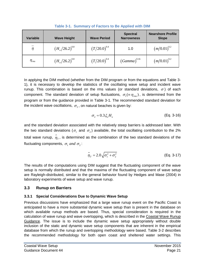| <b>Variable</b>  | <b>Wave Height</b>            | <b>Wave Period</b> | <b>Spectral</b><br><b>Narrowness</b> | <b>Nearshore Profile</b><br><b>Slope</b> |
|------------------|-------------------------------|--------------------|--------------------------------------|------------------------------------------|
| $\eta$           | $(H_o/26.2)^{0.8}$            | $(T/20.0)^{0.4}$   | 1.0                                  | $(m/0.01)^{0.2}$                         |
| $\eta_{\rm rms}$ | $\left(H_o/26.2\right)^{0.8}$ | $(T/20.0)^{0.4}$   | $(Gamma)^{0.16}$                     | $(m/0.01)^{0.2}$                         |

**Table 3-1. Summary of Factors to Be Applied with DIM**

In applying the DIM method (whether from the DIM program or from the equations and Table 3- 1), it is necessary to develop the statistics of the oscillating wave setup and incident wave runup. This combination is based on the rms values (or standard deviations,  $\sigma$ ) of each component. The standard deviation of setup fluctuations,  $\sigma_1(\equiv \eta_{rms})$ , is determined from the program or from the guidance provided in Table 3-1. The recommended standard deviation for the incident wave oscillations,  $\sigma_{2}$ , on natural beaches is given by:

$$
\sigma_2 = 0.3 \xi_o H_o \tag{Eq. 3-16}
$$

and the standard deviation associated with the relatively steep barriers is addressed later. With the two standard deviations ( $\sigma_1$  and  $\sigma_2$ ) available, the total oscillating contribution to the 2% total wave runup,  $\hat{\eta}_{\scriptscriptstyle T}$ , is determined as the combination of the two standard deviations of the fluctuating components,  $\sigma_1$  and  $\sigma_2$ :

$$
\hat{\eta}_T = 2.0\sqrt{\sigma_1^2 + \sigma_2^2}
$$
 (Eq. 3-17)

The results of the computations using DIM suggest that the fluctuating component of the wave setup is normally distributed and that the maxima of the fluctuating component of wave setup are Rayleigh-distributed, similar to the general behavior found by Hedges and Mase (2004) in laboratory experiments of wave setup and wave runup.

#### **3.3 Runup on Barriers**

#### **3.3.1 Special Considerations Due to Dynamic Wave Setup**

Previous discussions have emphasized that a large wave runup event on the Pacific Coast is anticipated to have a more substantial dynamic wave setup than is present in the database on which available runup methods are based. Thus, special consideration is required in the calculation of wave runup and wave overtopping, which is described in the Coastal Wave Runup Guidance. The issue is to include the dynamic wave setup appropriately without double inclusion of the static and dynamic wave setup components that are inherent in the empirical database from which the runup and overtopping methodology were based. Table 3-2 describes the recommended methodology for both open coast and sheltered water settings. This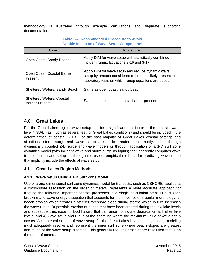methodology is illustrated through example calculations and separate supporting documentation.

#### **Table 3-2. Recommended Procedure to Avoid Double Inclusion of Wave Setup Components**

| Case                                                       | <b>Procedure</b>                                                                                                                                                   |
|------------------------------------------------------------|--------------------------------------------------------------------------------------------------------------------------------------------------------------------|
| Open Coast, Sandy Beach                                    | Apply DIM for wave setup with statistically combined<br>incident runup, Equations 3-16 and 3-17                                                                    |
| Open Coast, Coastal Barrier<br>Present                     | Apply DIM for wave setup and reduce dynamic wave<br>setup by amount considered to be most likely present in<br>laboratory tests on which runup equations are based |
| Sheltered Waters, Sandy Beach                              | Same as open coast, sandy beach                                                                                                                                    |
| <b>Sheltered Waters, Coastal</b><br><b>Barrier Present</b> | Same as open coast, coastal barrier present                                                                                                                        |

# **4.0 Great Lakes**

For the Great Lakes region, wave setup can be a significant contributor to the total still water level (TSWL) (as much as several feet for Great Lakes conditions) and should be included in the determination of coastal BFEs. For the vast majority of Great Lakes coastal settings and situations, storm surge and wave setup are to be treated concurrently, either through dynamically coupled 2-D surge and wave models or through application of a 1-D surf zone dynamics model (with incident wave and storm surge as inputs) that inherently computes wave transformation and setup, or through the use of empirical methods for predicting wave runup that implicitly include the effects of wave setup.

# **4.1 Great Lakes Region Methods**

## **4.1.1 Wave Setup Using a 1-D Surf Zone Model**

Use of a one-dimensional surf zone dynamics model for transects, such as CSHORE, applied at a cross-shore resolution on the order of meters, represents a more accurate approach for treating the following important coastal processes in a single calculation step: 1) surf zone breaking and wave energy dissipation that accounts for the influence of irregular morphology, 2) beach erosion which creates a steeper foreshore slope during storms which in turn increases the wave runup, 3) possible erosion of dunes that have been created during the low lake levels and subsequent increase in flood hazard that can arise from dune degradation at higher lake levels, and 4) wave setup and runup at the shoreline where the maximum value of wave setup occurs. Accurate calculation of wave setup for the Great Lakes beach settings using modeling must adequately resolve and represent the inner surf zone where beach slopes are greatest and much of the wave setup is forced. This generally requires cross-shore resolution that is on the order of meters.